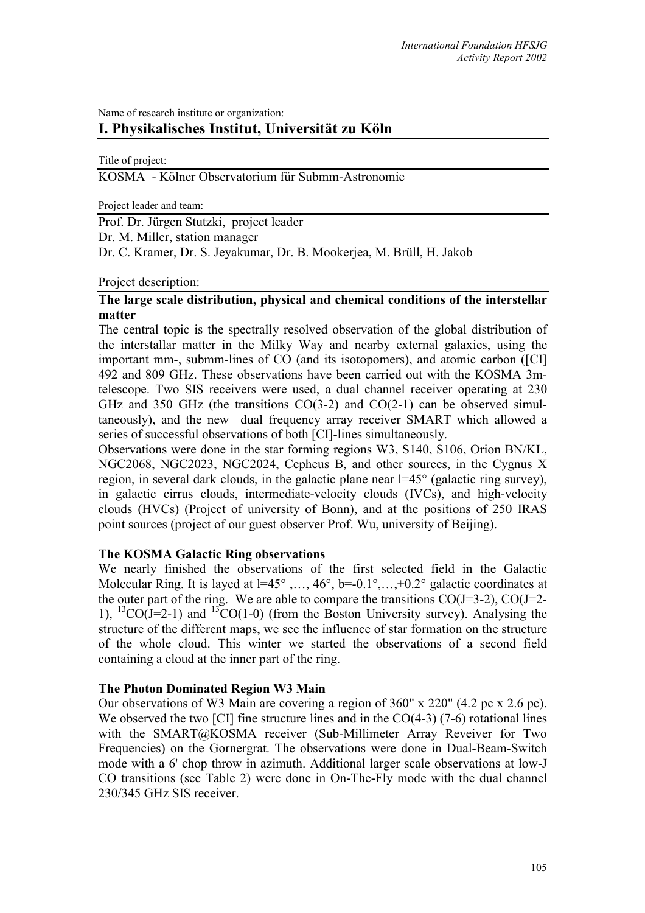# Name of research institute or organization: **I. Physikalisches Institut, Universität zu Köln**

Title of project:

KOSMA - Kölner Observatorium für Submm-Astronomie

Project leader and team:

Prof. Dr. Jürgen Stutzki, project leader Dr. M. Miller, station manager Dr. C. Kramer, Dr. S. Jeyakumar, Dr. B. Mookerjea, M. Brüll, H. Jakob

Project description:

# **The large scale distribution, physical and chemical conditions of the interstellar matter**

The central topic is the spectrally resolved observation of the global distribution of the interstallar matter in the Milky Way and nearby external galaxies, using the important mm-, submm-lines of CO (and its isotopomers), and atomic carbon ([CI] 492 and 809 GHz. These observations have been carried out with the KOSMA 3mtelescope. Two SIS receivers were used, a dual channel receiver operating at 230 GHz and 350 GHz (the transitions  $CO(3-2)$  and  $CO(2-1)$  can be observed simultaneously), and the new dual frequency array receiver SMART which allowed a series of successful observations of both [CI]-lines simultaneously.

Observations were done in the star forming regions W3, S140, S106, Orion BN/KL, NGC2068, NGC2023, NGC2024, Cepheus B, and other sources, in the Cygnus X region, in several dark clouds, in the galactic plane near l=45° (galactic ring survey), in galactic cirrus clouds, intermediate-velocity clouds (IVCs), and high-velocity clouds (HVCs) (Project of university of Bonn), and at the positions of 250 IRAS point sources (project of our guest observer Prof. Wu, university of Beijing).

## **The KOSMA Galactic Ring observations**

We nearly finished the observations of the first selected field in the Galactic Molecular Ring. It is layed at l=45°,..., 46°, b=-0.1°,...,+0.2° galactic coordinates at the outer part of the ring. We are able to compare the transitions  $CO(J=3-2)$ ,  $CO(J=2-$ 1), <sup>13</sup>CO(J=2-1) and <sup>13</sup>CO(1-0) (from the Boston University survey). Analysing the structure of the different maps, we see the influence of star formation on the structure of the whole cloud. This winter we started the observations of a second field containing a cloud at the inner part of the ring.

## **The Photon Dominated Region W3 Main**

Our observations of W3 Main are covering a region of 360" x 220" (4.2 pc x 2.6 pc). We observed the two [CI] fine structure lines and in the CO(4-3) (7-6) rotational lines with the SMART@KOSMA receiver (Sub-Millimeter Array Reveiver for Two Frequencies) on the Gornergrat. The observations were done in Dual-Beam-Switch mode with a 6' chop throw in azimuth. Additional larger scale observations at low-J CO transitions (see Table 2) were done in On-The-Fly mode with the dual channel 230/345 GHz SIS receiver.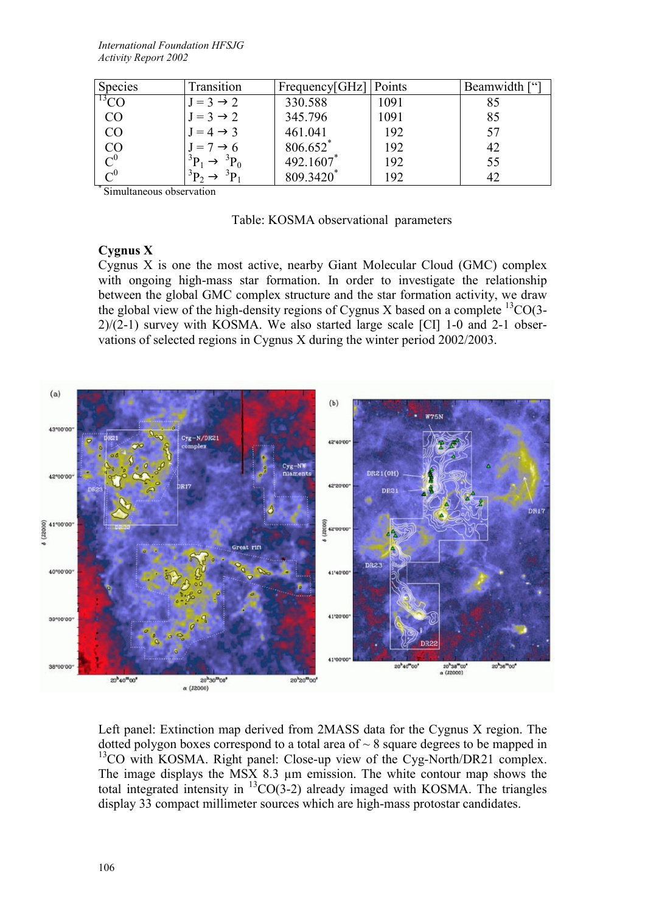| Species                                         | Transition            | Frequency[GHz]   Points |      | Beamwidth ["] |
|-------------------------------------------------|-----------------------|-------------------------|------|---------------|
| $\rm ^{13}CO$                                   | $J = 3 \rightarrow 2$ | 330.588                 | 1091 |               |
| CO                                              | $J = 3 \rightarrow 2$ | 345.796                 | 1091 | 85            |
| CO                                              | $J = 4 \rightarrow 3$ | 461.041                 | 192  |               |
|                                                 | $J = 7 \rightarrow 6$ | 806.652*                | 192  | 42            |
| $\overset{\rm CO}{\underset{\rm C^0}{\rm C^0}}$ | ${}^{5}P_0$           | 492.1607*               | 192  | 55            |
|                                                 | $\mathbf{p}$          | 809.3420 <sup>*</sup>   | 192  |               |

\* Simultaneous observation

#### Table: KOSMA observational parameters

### **Cygnus X**

Cygnus X is one the most active, nearby Giant Molecular Cloud (GMC) complex with ongoing high-mass star formation. In order to investigate the relationship between the global GMC complex structure and the star formation activity, we draw the global view of the high-density regions of Cygnus X based on a complete  ${}^{13}CO(3 2/(2-1)$  survey with KOSMA. We also started large scale [CI] 1-0 and 2-1 observations of selected regions in Cygnus X during the winter period 2002/2003.



Left panel: Extinction map derived from 2MASS data for the Cygnus X region. The dotted polygon boxes correspond to a total area of  $\sim 8$  square degrees to be mapped in <sup>13</sup>CO with KOSMA. Right panel: Close-up view of the Cyg-North/DR21 complex. The image displays the MSX 8.3 µm emission. The white contour map shows the total integrated intensity in  ${}^{13}CO(3-2)$  already imaged with KOSMA. The triangles display 33 compact millimeter sources which are high-mass protostar candidates.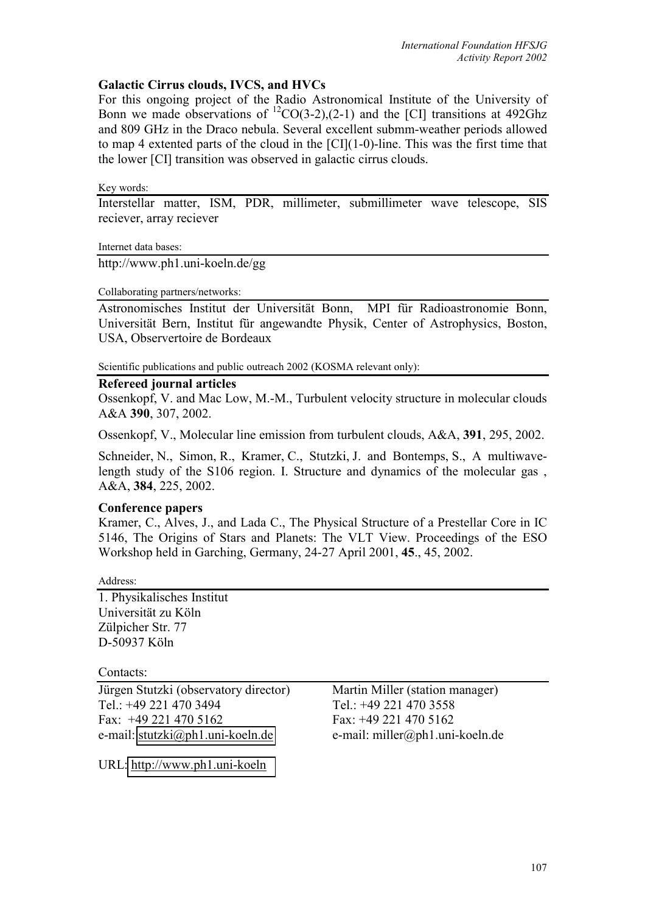# **Galactic Cirrus clouds, IVCS, and HVCs**

For this ongoing project of the Radio Astronomical Institute of the University of Bonn we made observations of  ${}^{12}CO(3-2)$ , (2-1) and the [CI] transitions at 492Ghz and 809 GHz in the Draco nebula. Several excellent submm-weather periods allowed to map 4 extented parts of the cloud in the [CI](1-0)-line. This was the first time that the lower [CI] transition was observed in galactic cirrus clouds.

Key words:

Interstellar matter, ISM, PDR, millimeter, submillimeter wave telescope, SIS reciever, array reciever

Internet data bases:

http://www.ph1.uni-koeln.de/gg

### Collaborating partners/networks:

Astronomisches Institut der Universität Bonn, MPI für Radioastronomie Bonn, Universität Bern, Institut für angewandte Physik, Center of Astrophysics, Boston, USA, Observertoire de Bordeaux

Scientific publications and public outreach 2002 (KOSMA relevant only):

## **Refereed journal articles**

Ossenkopf, V. and Mac Low, M.-M., Turbulent velocity structure in molecular clouds A&A **390**, 307, 2002.

Ossenkopf, V., Molecular line emission from turbulent clouds, A&A, **391**, 295, 2002.

Schneider, N., Simon, R., Kramer, C., Stutzki, J. and Bontemps, S., A multiwavelength study of the S106 region. I. Structure and dynamics of the molecular gas , A&A, **384**, 225, 2002.

## **Conference papers**

Kramer, C., Alves, J., and Lada C., The Physical Structure of a Prestellar Core in IC 5146, The Origins of Stars and Planets: The VLT View. Proceedings of the ESO Workshop held in Garching, Germany, 24-27 April 2001, **45**., 45, 2002.

Address:

1. Physikalisches Institut Universität zu Köln Zülpicher Str. 77 D-50937 Köln

Contacts:

Jürgen Stutzki (observatory director) Martin Miller (station manager) Tel.: +49 221 470 3494 Tel.: +49 221 470 3558 Fax: +49 221 470 5162 Fax: +49 221 470 5162 e-mail: [stutzki@ph1.uni-koeln.de](mailto:stutzki@ph1.uni-koeln.de) e-mail: miller@ph1.uni-koeln.de

URL: [http://www.ph1.uni-koeln](http://www.ph1.uni-koeln/)